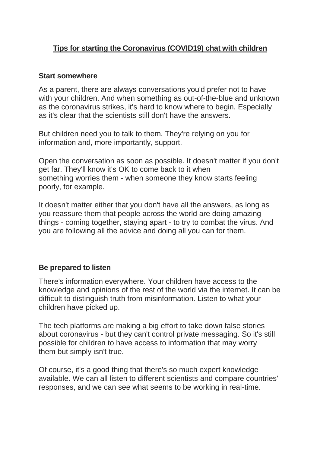## **Tips for starting the Coronavirus (COVID19) chat with children**

## **Start somewhere**

As a parent, there are always conversations you'd prefer not to have with your children. And when something as out-of-the-blue and unknown as the coronavirus strikes, it's hard to know where to begin. Especially as it's clear that the scientists still don't have the answers.

But children need you to talk to them. They're relying on you for information and, more importantly, support.

Open the conversation as soon as possible. It doesn't matter if you don't get far. They'll know it's OK to come back to it when something worries them - when someone they know starts feeling poorly, for example.

It doesn't matter either that you don't have all the answers, as long as you reassure them that people across the world are doing amazing things - coming together, staying apart - to try to combat the virus. And you are following all the advice and doing all you can for them.

## **Be prepared to listen**

There's information everywhere. Your children have access to the knowledge and opinions of the rest of the world via the internet. It can be difficult to distinguish truth from misinformation. Listen to what your children have picked up.

The tech platforms are making a big effort to take down false stories about coronavirus - but they can't control private messaging. So it's still possible for children to have access to information that may worry them but simply isn't true.

Of course, it's a good thing that there's so much expert knowledge available. We can all listen to different scientists and compare countries' responses, and we can see what seems to be working in real-time.